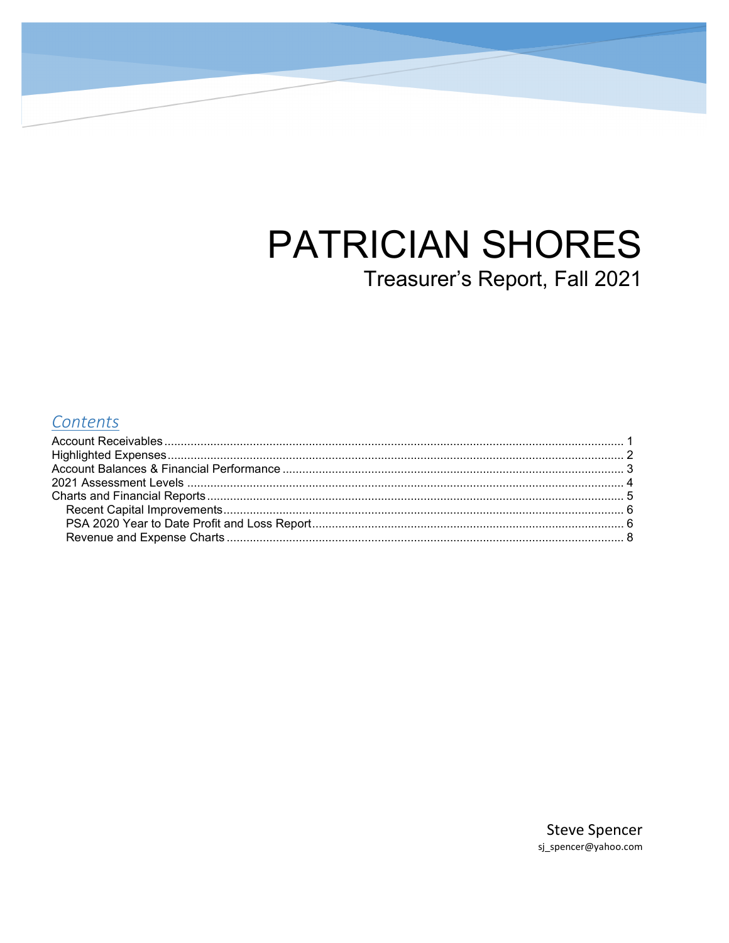# **PATRICIAN SHORES** Treasurer's Report, Fall 2021

### Contents

**Steve Spencer** sj\_spencer@yahoo.com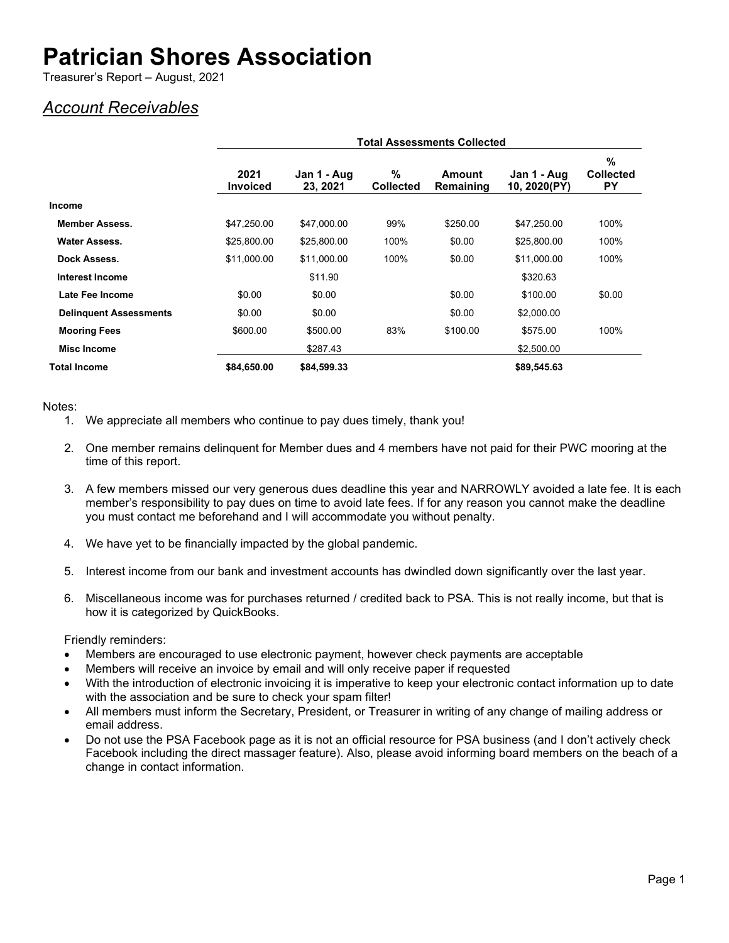Treasurer's Report – August, 2021

### <span id="page-1-0"></span>*Account Receivables*

|                               | <b>Total Assessments Collected</b> |                         |                       |                     |                             |                             |
|-------------------------------|------------------------------------|-------------------------|-----------------------|---------------------|-----------------------------|-----------------------------|
|                               | 2021<br><b>Invoiced</b>            | Jan 1 - Aug<br>23, 2021 | %<br><b>Collected</b> | Amount<br>Remaining | Jan 1 - Aug<br>10, 2020(PY) | %<br><b>Collected</b><br>PY |
| <b>Income</b>                 |                                    |                         |                       |                     |                             |                             |
| <b>Member Assess.</b>         | \$47,250.00                        | \$47,000.00             | 99%                   | \$250.00            | \$47,250.00                 | 100%                        |
| <b>Water Assess.</b>          | \$25,800.00                        | \$25,800.00             | 100%                  | \$0.00              | \$25,800.00                 | 100%                        |
| Dock Assess.                  | \$11,000.00                        | \$11,000.00             | 100%                  | \$0.00              | \$11,000.00                 | 100%                        |
| Interest Income               |                                    | \$11.90                 |                       |                     | \$320.63                    |                             |
| Late Fee Income               | \$0.00                             | \$0.00                  |                       | \$0.00              | \$100.00                    | \$0.00                      |
| <b>Delinquent Assessments</b> | \$0.00                             | \$0.00                  |                       | \$0.00              | \$2,000.00                  |                             |
| <b>Mooring Fees</b>           | \$600.00                           | \$500.00                | 83%                   | \$100.00            | \$575.00                    | 100%                        |
| Misc Income                   |                                    | \$287.43                |                       |                     | \$2,500.00                  |                             |
| <b>Total Income</b>           | \$84,650.00                        | \$84,599.33             |                       |                     | \$89,545.63                 |                             |

Notes:

- 1. We appreciate all members who continue to pay dues timely, thank you!
- 2. One member remains delinquent for Member dues and 4 members have not paid for their PWC mooring at the time of this report.
- 3. A few members missed our very generous dues deadline this year and NARROWLY avoided a late fee. It is each member's responsibility to pay dues on time to avoid late fees. If for any reason you cannot make the deadline you must contact me beforehand and I will accommodate you without penalty.
- 4. We have yet to be financially impacted by the global pandemic.
- 5. Interest income from our bank and investment accounts has dwindled down significantly over the last year.
- 6. Miscellaneous income was for purchases returned / credited back to PSA. This is not really income, but that is how it is categorized by QuickBooks.

Friendly reminders:

- Members are encouraged to use electronic payment, however check payments are acceptable
- Members will receive an invoice by email and will only receive paper if requested
- With the introduction of electronic invoicing it is imperative to keep your electronic contact information up to date with the association and be sure to check your spam filter!
- All members must inform the Secretary, President, or Treasurer in writing of any change of mailing address or email address.
- Do not use the PSA Facebook page as it is not an official resource for PSA business (and I don't actively check Facebook including the direct massager feature). Also, please avoid informing board members on the beach of a change in contact information.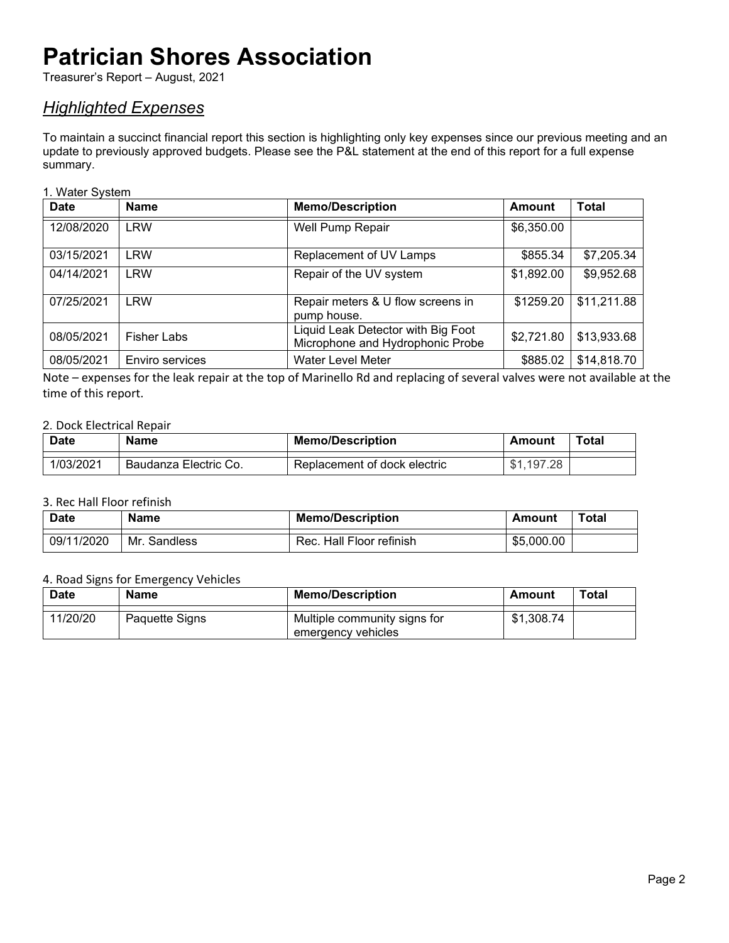Treasurer's Report – August, 2021

### <span id="page-2-0"></span>*Highlighted Expenses*

To maintain a succinct financial report this section is highlighting only key expenses since our previous meeting and an update to previously approved budgets. Please see the P&L statement at the end of this report for a full expense summary.

#### 1. Water System

| <b>Date</b> | <b>Name</b>        | <b>Memo/Description</b>                                                | Amount     | Total       |
|-------------|--------------------|------------------------------------------------------------------------|------------|-------------|
| 12/08/2020  | <b>LRW</b>         | Well Pump Repair                                                       | \$6,350.00 |             |
| 03/15/2021  | <b>LRW</b>         | Replacement of UV Lamps                                                | \$855.34   | \$7,205.34  |
| 04/14/2021  | <b>LRW</b>         | Repair of the UV system                                                | \$1,892.00 | \$9,952.68  |
| 07/25/2021  | <b>LRW</b>         | Repair meters & U flow screens in<br>pump house.                       | \$1259.20  | \$11,211.88 |
| 08/05/2021  | <b>Fisher Labs</b> | Liquid Leak Detector with Big Foot<br>Microphone and Hydrophonic Probe | \$2,721.80 | \$13,933.68 |
| 08/05/2021  | Enviro services    | <b>Water Level Meter</b>                                               | \$885.02   | \$14,818.70 |

Note – expenses for the leak repair at the top of Marinello Rd and replacing of several valves were not available at the time of this report.

### 2. Dock Electrical Repair

| <b>Date</b> | Name                  | <b>Memo/Description</b>      | Amount     | <b>Total</b> |
|-------------|-----------------------|------------------------------|------------|--------------|
| 1/03/2021   | Baudanza Electric Co. | Replacement of dock electric | \$1.197.28 |              |

#### 3. Rec Hall Floor refinish

| <b>Date</b> | Name         | <b>Memo/Description</b>  | Amount     | Total |
|-------------|--------------|--------------------------|------------|-------|
| 09/11/2020  | Mr. Sandless | Rec. Hall Floor refinish | \$5,000.00 |       |

#### 4. Road Signs for Emergency Vehicles

| <b>Date</b> | <b>Name</b>    | <b>Memo/Description</b>                            | Amount     | Total |
|-------------|----------------|----------------------------------------------------|------------|-------|
| 11/20/20    | Paquette Signs | Multiple community signs for<br>emergency vehicles | \$1,308.74 |       |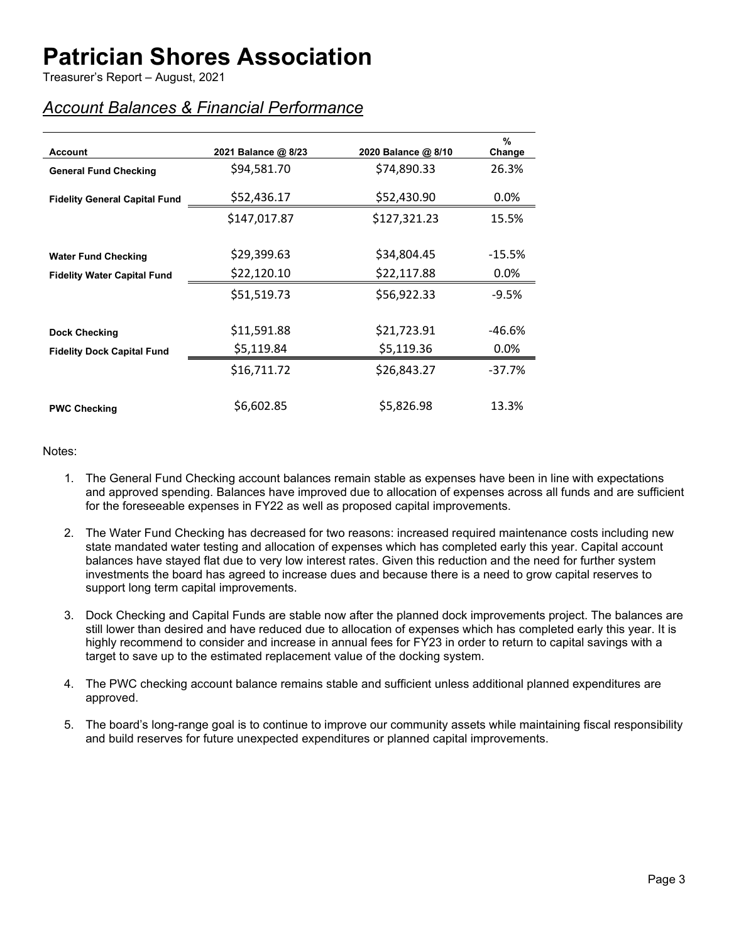Treasurer's Report – August, 2021

### <span id="page-3-0"></span>*Account Balances & Financial Performance*

| <b>Account</b>                       | 2021 Balance @ 8/23 | 2020 Balance @ 8/10 | $\%$<br>Change |
|--------------------------------------|---------------------|---------------------|----------------|
| <b>General Fund Checking</b>         | \$94,581.70         | \$74,890.33         | 26.3%          |
| <b>Fidelity General Capital Fund</b> | \$52,436.17         | \$52,430.90         | $0.0\%$        |
|                                      | \$147,017.87        | \$127,321.23        | 15.5%          |
|                                      | \$29,399.63         | \$34,804.45         |                |
| <b>Water Fund Checking</b>           |                     |                     | $-15.5\%$      |
| <b>Fidelity Water Capital Fund</b>   | \$22,120.10         | \$22,117.88         | $0.0\%$        |
|                                      | \$51,519.73         | \$56,922.33         | $-9.5%$        |
|                                      |                     |                     |                |
| <b>Dock Checking</b>                 | \$11,591.88         | \$21,723.91         | -46.6%         |
| <b>Fidelity Dock Capital Fund</b>    | \$5,119.84          | \$5,119.36          | $0.0\%$        |
|                                      | \$16,711.72         | \$26,843.27         | -37.7%         |
| <b>PWC Checking</b>                  | \$6,602.85          | \$5,826.98          | 13.3%          |

#### Notes:

- 1. The General Fund Checking account balances remain stable as expenses have been in line with expectations and approved spending. Balances have improved due to allocation of expenses across all funds and are sufficient for the foreseeable expenses in FY22 as well as proposed capital improvements.
- 2. The Water Fund Checking has decreased for two reasons: increased required maintenance costs including new state mandated water testing and allocation of expenses which has completed early this year. Capital account balances have stayed flat due to very low interest rates. Given this reduction and the need for further system investments the board has agreed to increase dues and because there is a need to grow capital reserves to support long term capital improvements.
- 3. Dock Checking and Capital Funds are stable now after the planned dock improvements project. The balances are still lower than desired and have reduced due to allocation of expenses which has completed early this year. It is highly recommend to consider and increase in annual fees for FY23 in order to return to capital savings with a target to save up to the estimated replacement value of the docking system.
- 4. The PWC checking account balance remains stable and sufficient unless additional planned expenditures are approved.
- 5. The board's long-range goal is to continue to improve our community assets while maintaining fiscal responsibility and build reserves for future unexpected expenditures or planned capital improvements.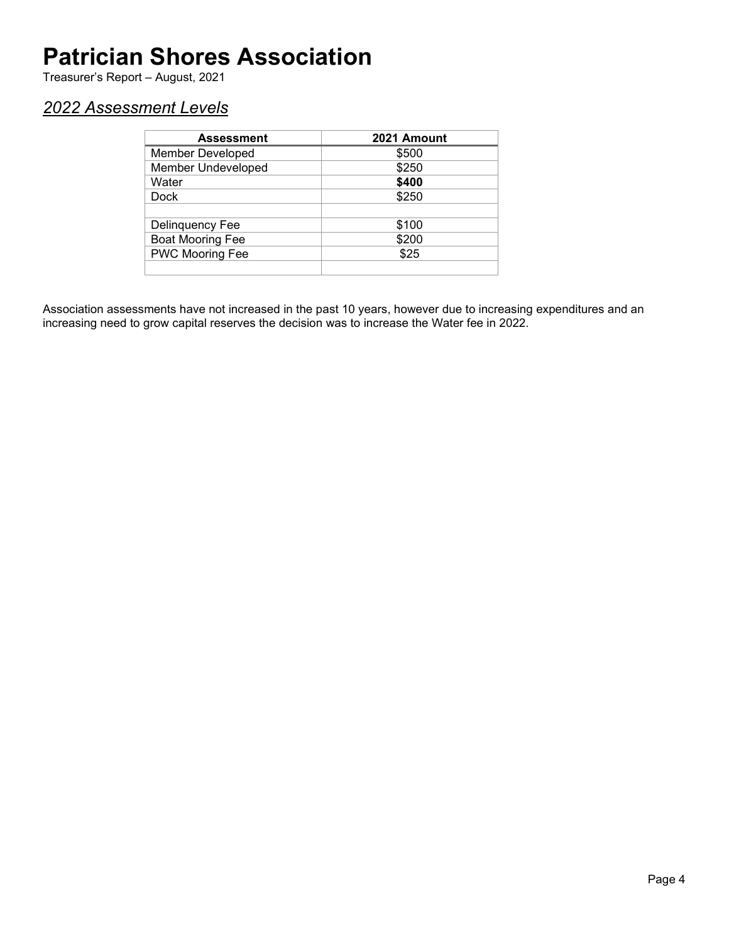Treasurer's Report – August, 2021

### <span id="page-4-0"></span>*2022 Assessment Levels*

| <b>Assessment</b>         | 2021 Amount |
|---------------------------|-------------|
| <b>Member Developed</b>   | \$500       |
| <b>Member Undeveloped</b> | \$250       |
| Water                     | \$400       |
| Dock                      | \$250       |
|                           |             |
| Delinquency Fee           | \$100       |
| <b>Boat Mooring Fee</b>   | \$200       |
| PWC Mooring Fee           | \$25        |
|                           |             |

Association assessments have not increased in the past 10 years, however due to increasing expenditures and an increasing need to grow capital reserves the decision was to increase the Water fee in 2022.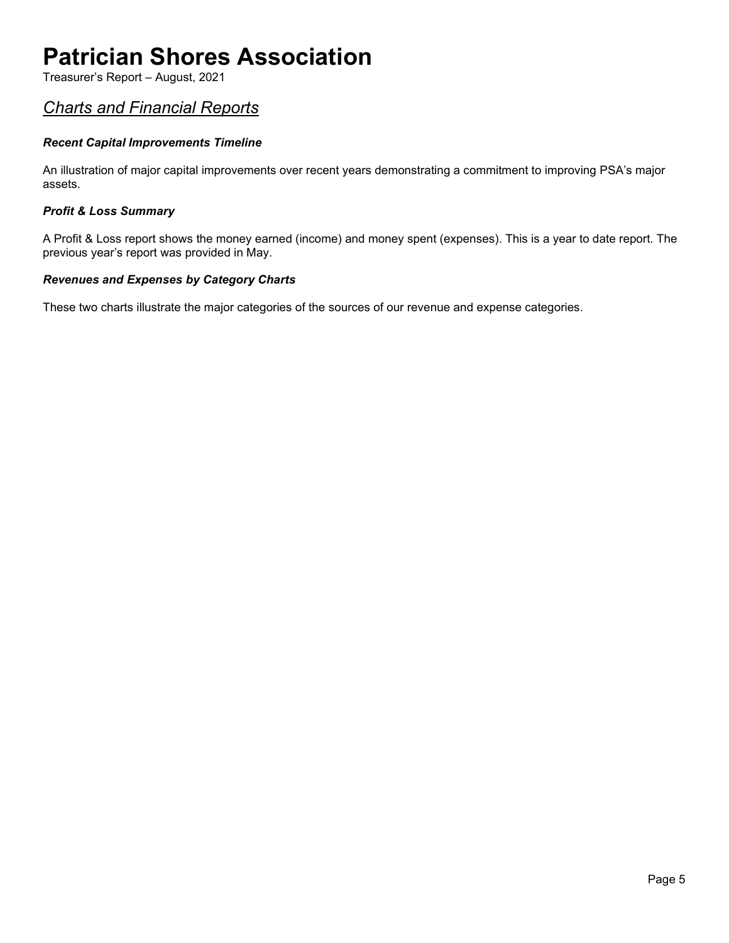Treasurer's Report – August, 2021

### <span id="page-5-0"></span>*Charts and Financial Reports*

### *Recent Capital Improvements Timeline*

An illustration of major capital improvements over recent years demonstrating a commitment to improving PSA's major assets.

#### *Profit & Loss Summary*

A Profit & Loss report shows the money earned (income) and money spent (expenses). This is a year to date report. The previous year's report was provided in May.

#### *Revenues and Expenses by Category Charts*

These two charts illustrate the major categories of the sources of our revenue and expense categories.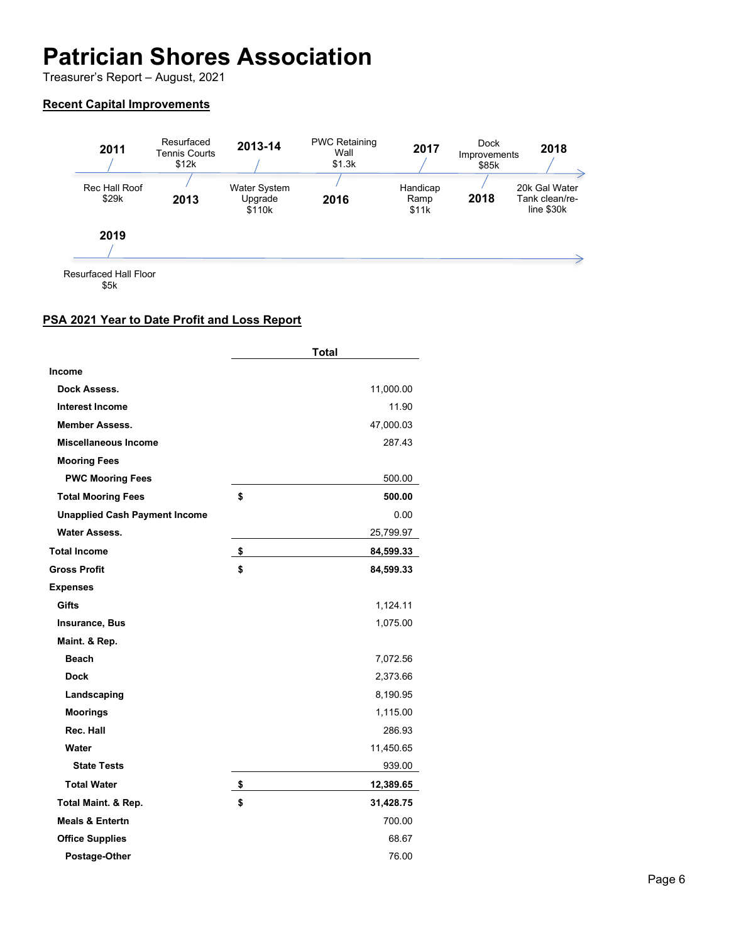Treasurer's Report – August, 2021

### <span id="page-6-0"></span>**Recent Capital Improvements**



<span id="page-6-1"></span>Resurfaced Hall Floor \$5k

### **PSA 2021 Year to Date Profit and Loss Report**

|                                      | <b>Total</b>    |
|--------------------------------------|-----------------|
| <b>Income</b>                        |                 |
| Dock Assess.                         | 11,000.00       |
| <b>Interest Income</b>               | 11.90           |
| <b>Member Assess.</b>                | 47,000.03       |
| <b>Miscellaneous Income</b>          | 287.43          |
| <b>Mooring Fees</b>                  |                 |
| <b>PWC Mooring Fees</b>              | 500.00          |
| <b>Total Mooring Fees</b>            | \$<br>500.00    |
| <b>Unapplied Cash Payment Income</b> | 0.00            |
| <b>Water Assess.</b>                 | 25,799.97       |
| <b>Total Income</b>                  | \$<br>84,599.33 |
| <b>Gross Profit</b>                  | \$<br>84,599.33 |
| <b>Expenses</b>                      |                 |
| Gifts                                | 1,124.11        |
| Insurance, Bus                       | 1,075.00        |
| Maint. & Rep.                        |                 |
| <b>Beach</b>                         | 7,072.56        |
| <b>Dock</b>                          | 2,373.66        |
| Landscaping                          | 8,190.95        |
| <b>Moorings</b>                      | 1,115.00        |
| Rec. Hall                            | 286.93          |
| Water                                | 11,450.65       |
| <b>State Tests</b>                   | 939.00          |
| <b>Total Water</b>                   | \$<br>12,389.65 |
| <b>Total Maint. &amp; Rep.</b>       | \$<br>31,428.75 |
| <b>Meals &amp; Entertn</b>           | 700.00          |
| <b>Office Supplies</b>               | 68.67           |
| Postage-Other                        | 76.00           |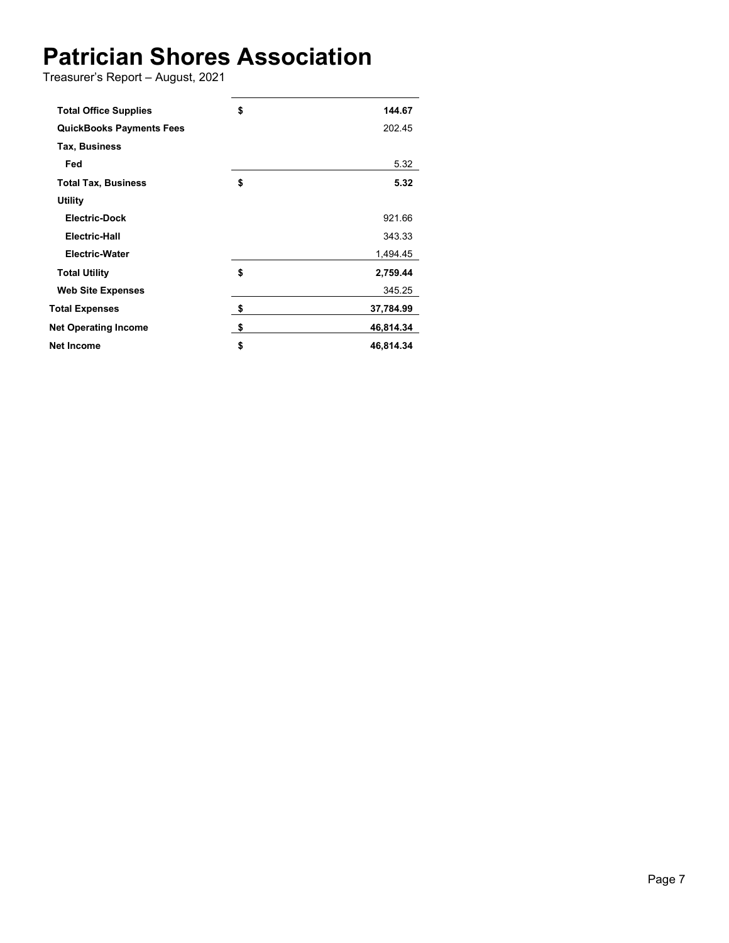Treasurer's Report – August, 2021

| <b>Total Office Supplies</b>    | \$<br>144.67    |
|---------------------------------|-----------------|
| <b>QuickBooks Payments Fees</b> | 202.45          |
| Tax, Business                   |                 |
| Fed                             | 5.32            |
| <b>Total Tax, Business</b>      | \$<br>5.32      |
| <b>Utility</b>                  |                 |
| <b>Electric-Dock</b>            | 921.66          |
| Electric-Hall                   | 343.33          |
| <b>Electric-Water</b>           | 1,494.45        |
| <b>Total Utility</b>            | \$<br>2,759.44  |
| <b>Web Site Expenses</b>        | 345.25          |
| <b>Total Expenses</b>           | \$<br>37,784.99 |
| <b>Net Operating Income</b>     | \$<br>46,814.34 |
| Net Income                      | \$<br>46,814.34 |